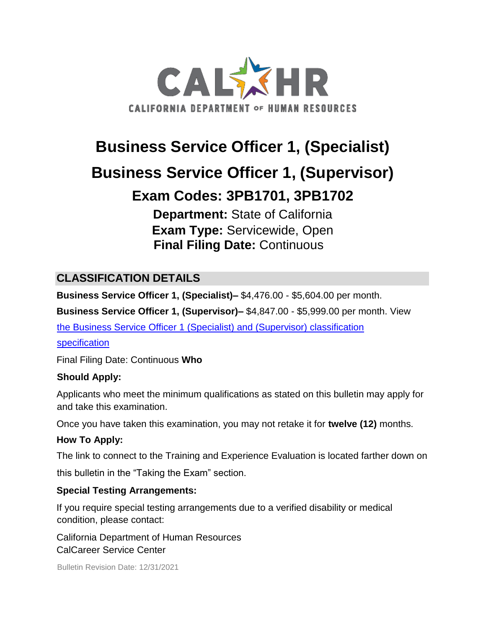

# **Business Service Officer 1, (Specialist)**

# **Business Service Officer 1, (Supervisor)**

# **Exam Codes: 3PB1701, 3PB1702**

**Department:** State of California **Exam Type:** Servicewide, Open **Final Filing Date:** Continuous

# **CLASSIFICATION DETAILS**

**Business Service Officer 1, (Specialist)–** \$4,476.00 - \$5,604.00 per month.

**Business Service Officer 1, (Supervisor)–** \$4,847.00 - \$5,999.00 per month. View

[the Business Service Officer 1 \(Specialist\) and \(Supervisor\) classification](http://www.calhr.ca.gov/state-hr-professionals/pages/4707.aspx)

[specification](http://www.calhr.ca.gov/state-hr-professionals/pages/4707.aspx)

Final Filing Date: Continuous **Who** 

#### **Should Apply:**

Applicants who meet the minimum qualifications as stated on this bulletin may apply for and take this examination.

Once you have taken this examination, you may not retake it for **twelve (12)** months.

#### **How To Apply:**

The link to connect to the Training and Experience Evaluation is located farther down on

this bulletin in the "Taking the Exam" section.

#### **Special Testing Arrangements:**

If you require special testing arrangements due to a verified disability or medical condition, please contact:

California Department of Human Resources CalCareer Service Center

Bulletin Revision Date: 12/31/2021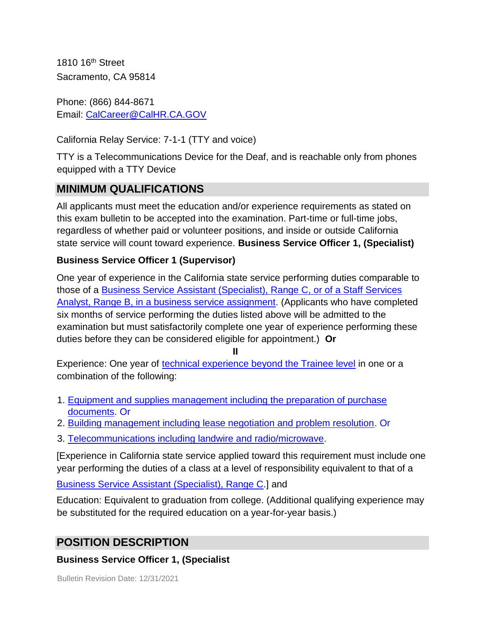1810 16th Street Sacramento, CA 95814

Phone: (866) 844-8671 Email: CalCareer@CalHR.CA.GOV

California Relay Service: 7-1-1 (TTY and voice)

TTY is a Telecommunications Device for the Deaf, and is reachable only from phones equipped with a TTY Device

# **MINIMUM QUALIFICATIONS**

All applicants must meet the education and/or experience requirements as stated on this exam bulletin to be accepted into the examination. Part-time or full-time jobs, regardless of whether paid or volunteer positions, and inside or outside California state service will count toward experience. **Business Service Officer 1, (Specialist)** 

#### **Business Service Officer 1 (Supervisor)**

One year of experience in the California state service performing duties comparable to those of a [Business Service Assistant \(Specialist\), Range C, or of a Staff Services](https://jobs.ca.gov/jobsgen/3PB17A.pdf) Analyst, Range B, in [a business service assignment.](https://jobs.ca.gov/jobsgen/3PB17A.pdf) (Applicants who have completed six months of service performing the duties listed above will be admitted to the examination but must satisfactorily complete one year of experience performing these duties before they can be considered eligible for appointment.) **Or** 

**II**

Experience: One year of [technical experience beyond the Trainee level](https://jobs.ca.gov/jobsgen/3PB17B.pdf) [i](https://jobs.ca.gov/jobsgen/3PB17B.pdf)n one or a combination of the following:

- 1. [Equipment and supplies management including the preparation of purchase](https://jobs.ca.gov/jobsgen/3PB17B.pdf) [documents.](https://jobs.ca.gov/jobsgen/3PB17B.pdf) Or
- 2. [Building management including lease negotiation and problem resolution.](https://jobs.ca.gov/jobsgen/3PB17B.pdf) Or
- 3. [Telecommunications including landwire and radio/microwave.](https://jobs.ca.gov/jobsgen/3PB17B.pdf)

[Experience in California state service applied toward this requirement must include one year performing the duties of a class at a level of responsibility equivalent to that of a

[Business Service Assistant \(Specialist\), Range C.\]](https://jobs.ca.gov/jobsgen/3PB17A.pdf) and

Education: Equivalent to graduation from college. (Additional qualifying experience may be substituted for the required education on a year-for-year basis.)

# **POSITION DESCRIPTION**

#### **Business Service Officer 1, (Specialist**

Bulletin Revision Date: 12/31/2021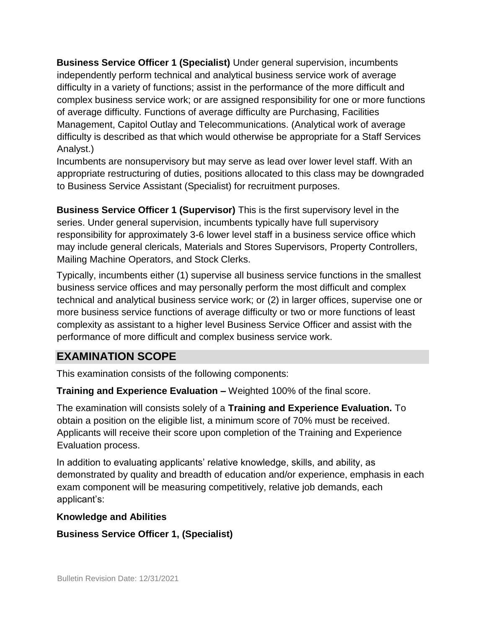**Business Service Officer 1 (Specialist)** Under general supervision, incumbents independently perform technical and analytical business service work of average difficulty in a variety of functions; assist in the performance of the more difficult and complex business service work; or are assigned responsibility for one or more functions of average difficulty. Functions of average difficulty are Purchasing, Facilities Management, Capitol Outlay and Telecommunications. (Analytical work of average difficulty is described as that which would otherwise be appropriate for a Staff Services Analyst.)

Incumbents are nonsupervisory but may serve as lead over lower level staff. With an appropriate restructuring of duties, positions allocated to this class may be downgraded to Business Service Assistant (Specialist) for recruitment purposes.

**Business Service Officer 1 (Supervisor)** This is the first supervisory level in the series. Under general supervision, incumbents typically have full supervisory responsibility for approximately 3-6 lower level staff in a business service office which may include general clericals, Materials and Stores Supervisors, Property Controllers, Mailing Machine Operators, and Stock Clerks.

Typically, incumbents either (1) supervise all business service functions in the smallest business service offices and may personally perform the most difficult and complex technical and analytical business service work; or (2) in larger offices, supervise one or more business service functions of average difficulty or two or more functions of least complexity as assistant to a higher level Business Service Officer and assist with the performance of more difficult and complex business service work.

# **EXAMINATION SCOPE**

This examination consists of the following components:

**Training and Experience Evaluation –** Weighted 100% of the final score.

The examination will consists solely of a **Training and Experience Evaluation.** To obtain a position on the eligible list, a minimum score of 70% must be received. Applicants will receive their score upon completion of the Training and Experience Evaluation process.

In addition to evaluating applicants' relative knowledge, skills, and ability, as demonstrated by quality and breadth of education and/or experience, emphasis in each exam component will be measuring competitively, relative job demands, each applicant's:

#### **Knowledge and Abilities**

#### **Business Service Officer 1, (Specialist)**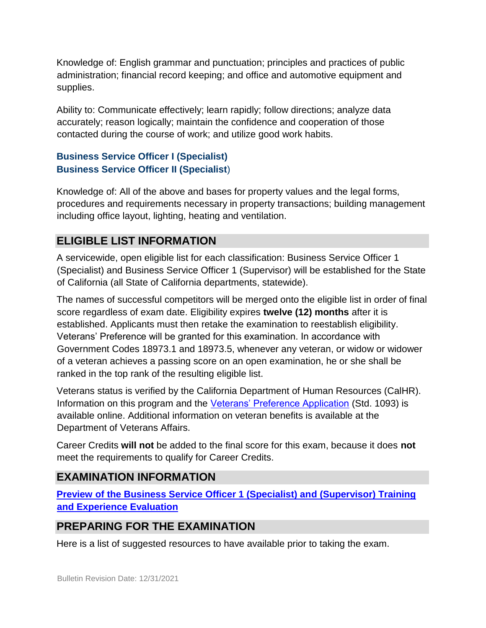Knowledge of: English grammar and punctuation; principles and practices of public administration; financial record keeping; and office and automotive equipment and supplies.

Ability to: Communicate effectively; learn rapidly; follow directions; analyze data accurately; reason logically; maintain the confidence and cooperation of those contacted during the course of work; and utilize good work habits.

#### **Business Service Officer I (Specialist) Business Service Officer II (Specialist**)

Knowledge of: All of the above and bases for property values and the legal forms, procedures and requirements necessary in property transactions; building management including office layout, lighting, heating and ventilation.

## **ELIGIBLE LIST INFORMATION**

A servicewide, open eligible list for each classification: Business Service Officer 1 (Specialist) and Business Service Officer 1 (Supervisor) will be established for the State of California (all State of California departments, statewide).

The names of successful competitors will be merged onto the eligible list in order of final score regardless of exam date. Eligibility expires **twelve (12) months** after it is established. Applicants must then retake the examination to reestablish eligibility. Veterans' Preference will be granted for this examination. In accordance with Government Codes 18973.1 and 18973.5, whenever any veteran, or widow or widower of a veteran achieves a passing score on an open examination, he or she shall be ranked in the top rank of the resulting eligible list.

Veterans status is verified by the California Department of Human Resources (CalHR). Information on this program and the [Veterans' Preference Application](https://www.jobs.ca.gov/CalHRPublic/Landing/Jobs/VeteransInformation.aspx) [\(](https://www.jobs.ca.gov/CalHRPublic/Landing/Jobs/VeteransInformation.aspx)Std. 1093) is available online. Additional information on veteran benefits is available at the Department of Veterans Affairs.

Career Credits **will not** be added to the final score for this exam, because it does **not**  meet the requirements to qualify for Career Credits.

# **EXAMINATION INFORMATION**

**[Preview](https://jobs.ca.gov/jobsgen/3PB17c.pdf) [of](https://jobs.ca.gov/jobsgen/3PB17c.pdf) [the Business Service Officer 1 \(Specialist\) and \(Supervisor\) Training](https://jobs.ca.gov/jobsgen/3PB17c.pdf) [and Experience Evaluation](https://jobs.ca.gov/jobsgen/3PB17c.pdf)**

# **PREPARING FOR THE EXAMINATION**

Here is a list of suggested resources to have available prior to taking the exam.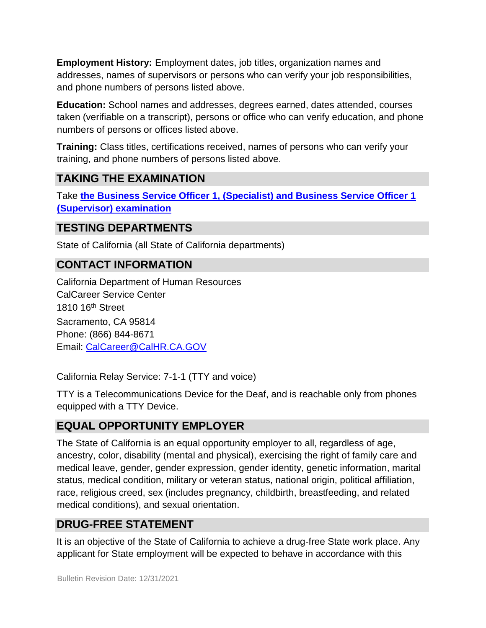**Employment History:** Employment dates, job titles, organization names and addresses, names of supervisors or persons who can verify your job responsibilities, and phone numbers of persons listed above.

**Education:** School names and addresses, degrees earned, dates attended, courses taken (verifiable on a transcript), persons or office who can verify education, and phone numbers of persons or offices listed above.

**Training:** Class titles, certifications received, names of persons who can verify your training, and phone numbers of persons listed above.

## **TAKING THE EXAMINATION**

Take **[the Business Service Officer 1, \(Specialist\) and Business Service Officer 1](https://exams.spb.ca.gov/exams/bso1/index.cfm) [\(Supervisor\) examination](https://exams.spb.ca.gov/exams/bso1/index.cfm)**

### **TESTING DEPARTMENTS**

State of California (all State of California departments)

## **CONTACT INFORMATION**

California Department of Human Resources CalCareer Service Center 1810 16th Street Sacramento, CA 95814 Phone: (866) 844-8671 Email: CalCareer@CalHR.CA.GOV

California Relay Service: 7-1-1 (TTY and voice)

TTY is a Telecommunications Device for the Deaf, and is reachable only from phones equipped with a TTY Device.

## **EQUAL OPPORTUNITY EMPLOYER**

The State of California is an equal opportunity employer to all, regardless of age, ancestry, color, disability (mental and physical), exercising the right of family care and medical leave, gender, gender expression, gender identity, genetic information, marital status, medical condition, military or veteran status, national origin, political affiliation, race, religious creed, sex (includes pregnancy, childbirth, breastfeeding, and related medical conditions), and sexual orientation.

## **DRUG-FREE STATEMENT**

It is an objective of the State of California to achieve a drug-free State work place. Any applicant for State employment will be expected to behave in accordance with this